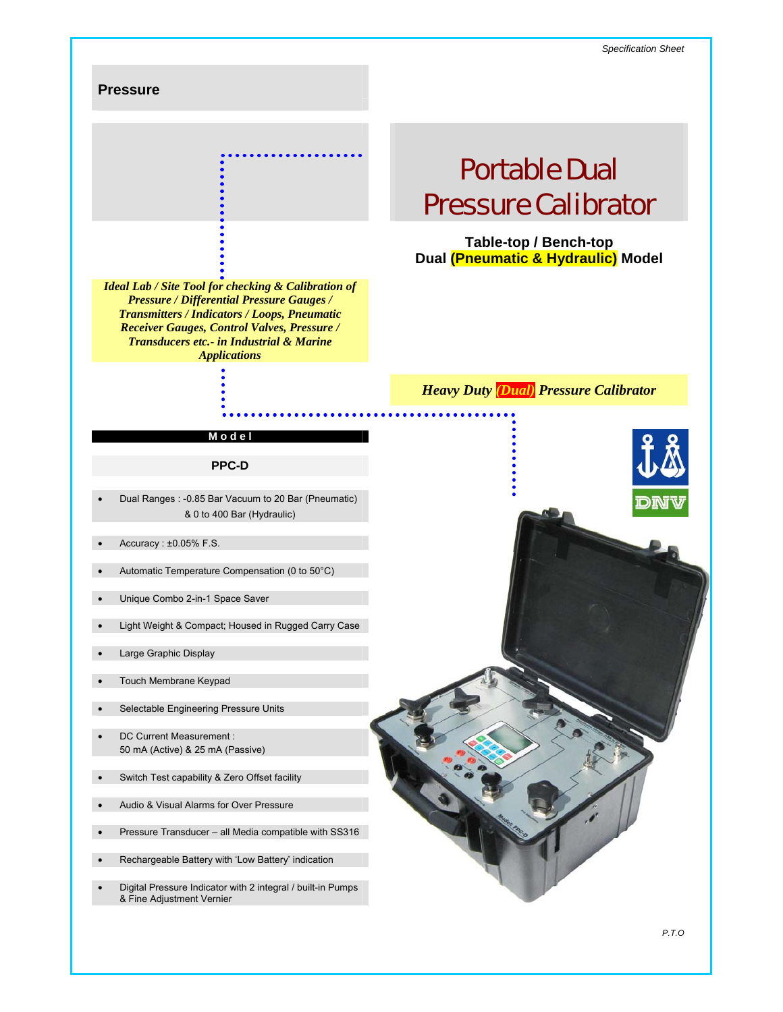